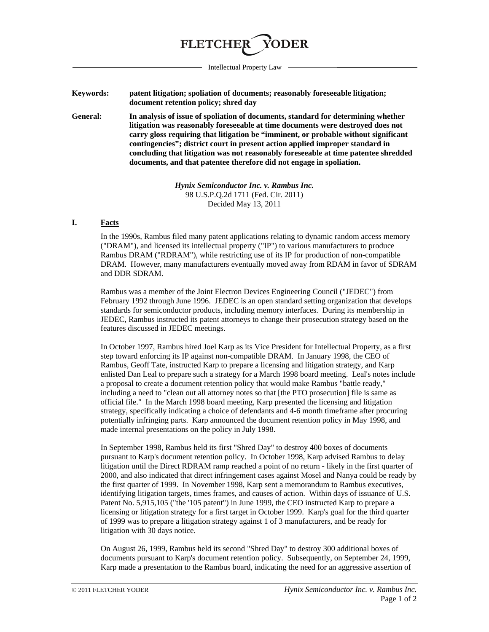

Intellectual Property Law

**Keywords: patent litigation; spoliation of documents; reasonably foreseeable litigation; document retention policy; shred day**

**General: In analysis of issue of spoliation of documents, standard for determining whether litigation was reasonably foreseeable at time documents were destroyed does not carry gloss requiring that litigation be "imminent, or probable without significant contingencies"; district court in present action applied improper standard in concluding that litigation was not reasonably foreseeable at time patentee shredded documents, and that patentee therefore did not engage in spoliation.** 

> *Hynix Semiconductor Inc. v. Rambus Inc.* 98 U.S.P.Q.2d 1711 (Fed. Cir. 2011) Decided May 13, 2011

## **I. Facts**

In the 1990s, Rambus filed many patent applications relating to dynamic random access memory ("DRAM"), and licensed its intellectual property ("IP") to various manufacturers to produce Rambus DRAM ("RDRAM"), while restricting use of its IP for production of non-compatible DRAM. However, many manufacturers eventually moved away from RDAM in favor of SDRAM and DDR SDRAM.

Rambus was a member of the Joint Electron Devices Engineering Council ("JEDEC") from February 1992 through June 1996. JEDEC is an open standard setting organization that develops standards for semiconductor products, including memory interfaces. During its membership in JEDEC, Rambus instructed its patent attorneys to change their prosecution strategy based on the features discussed in JEDEC meetings.

In October 1997, Rambus hired Joel Karp as its Vice President for Intellectual Property, as a first step toward enforcing its IP against non-compatible DRAM. In January 1998, the CEO of Rambus, Geoff Tate, instructed Karp to prepare a licensing and litigation strategy, and Karp enlisted Dan Leal to prepare such a strategy for a March 1998 board meeting. Leal's notes include a proposal to create a document retention policy that would make Rambus "battle ready," including a need to "clean out all attorney notes so that [the PTO prosecution] file is same as official file." In the March 1998 board meeting, Karp presented the licensing and litigation strategy, specifically indicating a choice of defendants and 4-6 month timeframe after procuring potentially infringing parts. Karp announced the document retention policy in May 1998, and made internal presentations on the policy in July 1998.

In September 1998, Rambus held its first "Shred Day" to destroy 400 boxes of documents pursuant to Karp's document retention policy. In October 1998, Karp advised Rambus to delay litigation until the Direct RDRAM ramp reached a point of no return - likely in the first quarter of 2000, and also indicated that direct infringement cases against Mosel and Nanya could be ready by the first quarter of 1999. In November 1998, Karp sent a memorandum to Rambus executives, identifying litigation targets, times frames, and causes of action. Within days of issuance of U.S. Patent No. 5,915,105 ("the '105 patent") in June 1999, the CEO instructed Karp to prepare a licensing or litigation strategy for a first target in October 1999. Karp's goal for the third quarter of 1999 was to prepare a litigation strategy against 1 of 3 manufacturers, and be ready for litigation with 30 days notice.

On August 26, 1999, Rambus held its second "Shred Day" to destroy 300 additional boxes of documents pursuant to Karp's document retention policy. Subsequently, on September 24, 1999, Karp made a presentation to the Rambus board, indicating the need for an aggressive assertion of